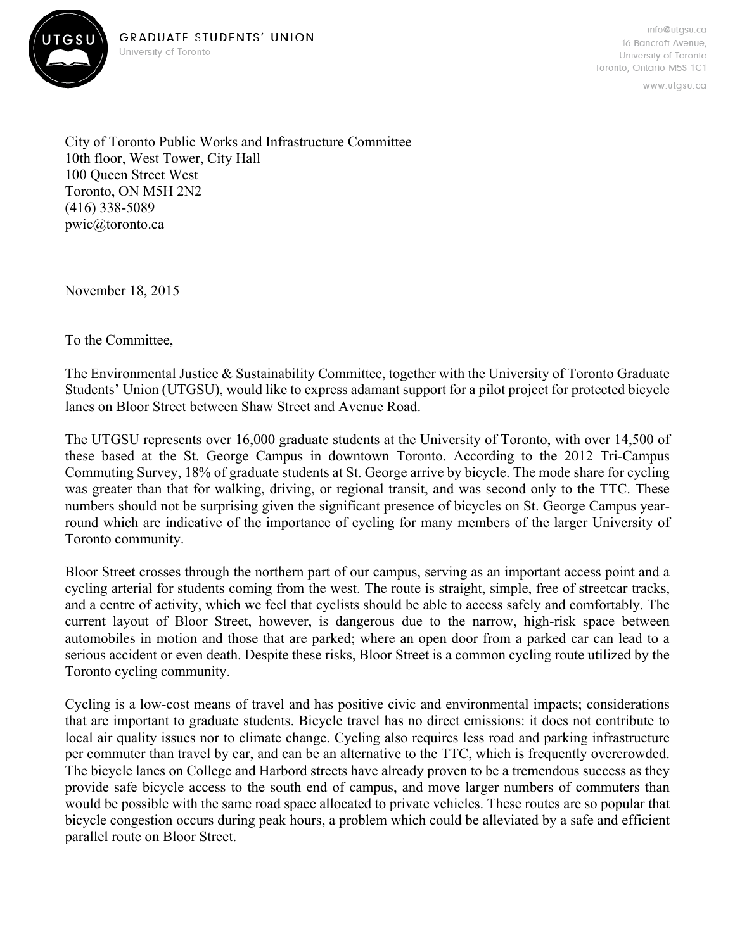



www.utgsu.ca

City of Toronto Public Works and Infrastructure Committee 10th floor, West Tower, City Hall 100 Queen Street West Toronto, ON M5H 2N2 (416) 338-5089 pwic@toronto.ca

November 18, 2015

To the Committee,

The Environmental Justice & Sustainability Committee, together with the University of Toronto Graduate Students' Union (UTGSU), would like to express adamant support for a pilot project for protected bicycle lanes on Bloor Street between Shaw Street and Avenue Road.

The UTGSU represents over 16,000 graduate students at the University of Toronto, with over 14,500 of these based at the St. George Campus in downtown Toronto. According to the 2012 Tri-Campus Commuting Survey, 18% of graduate students at St. George arrive by bicycle. The mode share for cycling was greater than that for walking, driving, or regional transit, and was second only to the TTC. These numbers should not be surprising given the significant presence of bicycles on St. George Campus yearround which are indicative of the importance of cycling for many members of the larger University of Toronto community.

Bloor Street crosses through the northern part of our campus, serving as an important access point and a cycling arterial for students coming from the west. The route is straight, simple, free of streetcar tracks, and a centre of activity, which we feel that cyclists should be able to access safely and comfortably. The current layout of Bloor Street, however, is dangerous due to the narrow, high-risk space between automobiles in motion and those that are parked; where an open door from a parked car can lead to a serious accident or even death. Despite these risks, Bloor Street is a common cycling route utilized by the Toronto cycling community.

Cycling is a low-cost means of travel and has positive civic and environmental impacts; considerations that are important to graduate students. Bicycle travel has no direct emissions: it does not contribute to local air quality issues nor to climate change. Cycling also requires less road and parking infrastructure per commuter than travel by car, and can be an alternative to the TTC, which is frequently overcrowded. The bicycle lanes on College and Harbord streets have already proven to be a tremendous success as they provide safe bicycle access to the south end of campus, and move larger numbers of commuters than would be possible with the same road space allocated to private vehicles. These routes are so popular that bicycle congestion occurs during peak hours, a problem which could be alleviated by a safe and efficient parallel route on Bloor Street.